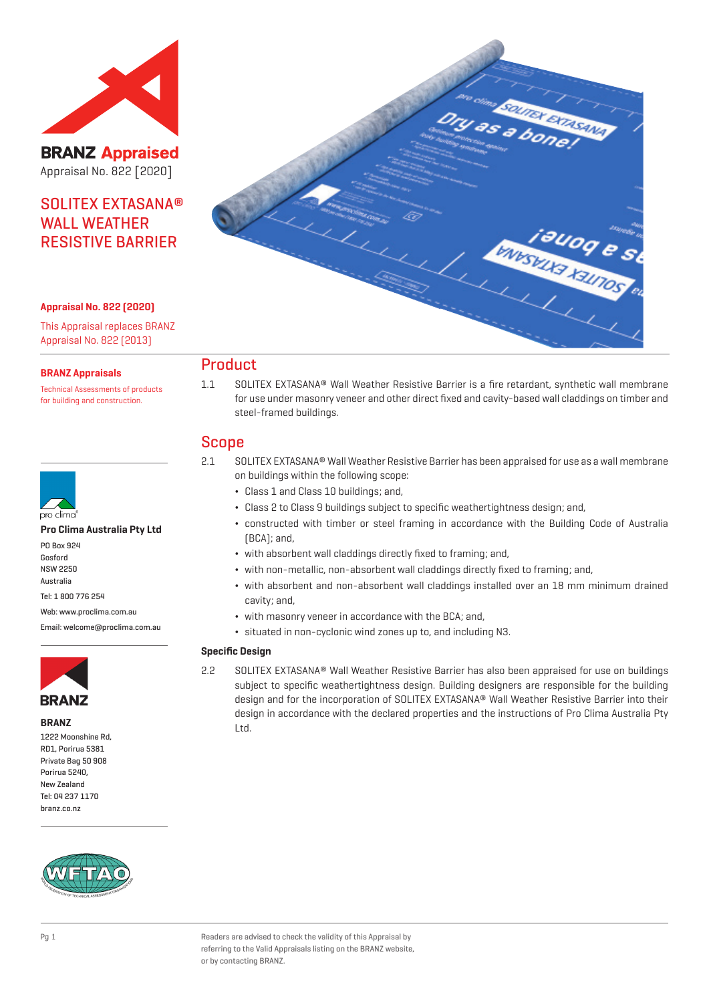

**BRANZ Appraised** Appraisal No. 822 [2020]

# SOLITEX EXTASANA® WALL WEATHER RESISTIVE BARRIER

#### **Appraisal No. 822 (2020)**

This Appraisal replaces BRANZ Appraisal No. 822 (2013)

#### **BRANZ Appraisals**

Technical Assessments of products for building and construction.



#### **Pro Clima Australia Pty Ltd**

PO Box 924 Gosford NSW 2250 Australia

Tel: 1 800 776 254

Web: www.proclima.com.au

Email: welcome@proclima.com.au



**BRANZ**

1222 Moonshine Rd, RD1, Porirua 5381 Private Bag 50 908 Porirua 5240, New Zealand Tel: 04 237 1170 branz.co.nz





# **Product**

1.1 SOLITEX EXTASANA® Wall Weather Resistive Barrier is a fire retardant, synthetic wall membrane for use under masonry veneer and other direct fixed and cavity-based wall claddings on timber and steel-framed buildings.

# Scope

- 2.1 SOLITEX EXTASANA® Wall Weather Resistive Barrier has been appraised for use as a wall membrane on buildings within the following scope:
	- ¬ Class 1 and Class 10 buildings; and,
	- ¬ Class 2 to Class 9 buildings subject to specific weathertightness design; and,
	- ¬ constructed with timber or steel framing in accordance with the Building Code of Australia (BCA); and,
	- ¬ with absorbent wall claddings directly fixed to framing; and,
	- ¬ with non-metallic, non-absorbent wall claddings directly fixed to framing; and,
	- ¬ with absorbent and non-absorbent wall claddings installed over an 18 mm minimum drained cavity; and,
	- ¬ with masonry veneer in accordance with the BCA; and,
	- ¬ situated in non-cyclonic wind zones up to, and including N3.

#### **Specific Design**

2.2 SOLITEX EXTASANA® Wall Weather Resistive Barrier has also been appraised for use on buildings subject to specific weathertightness design. Building designers are responsible for the building design and for the incorporation of SOLITEX EXTASANA® Wall Weather Resistive Barrier into their design in accordance with the declared properties and the instructions of Pro Clima Australia Pty Ltd.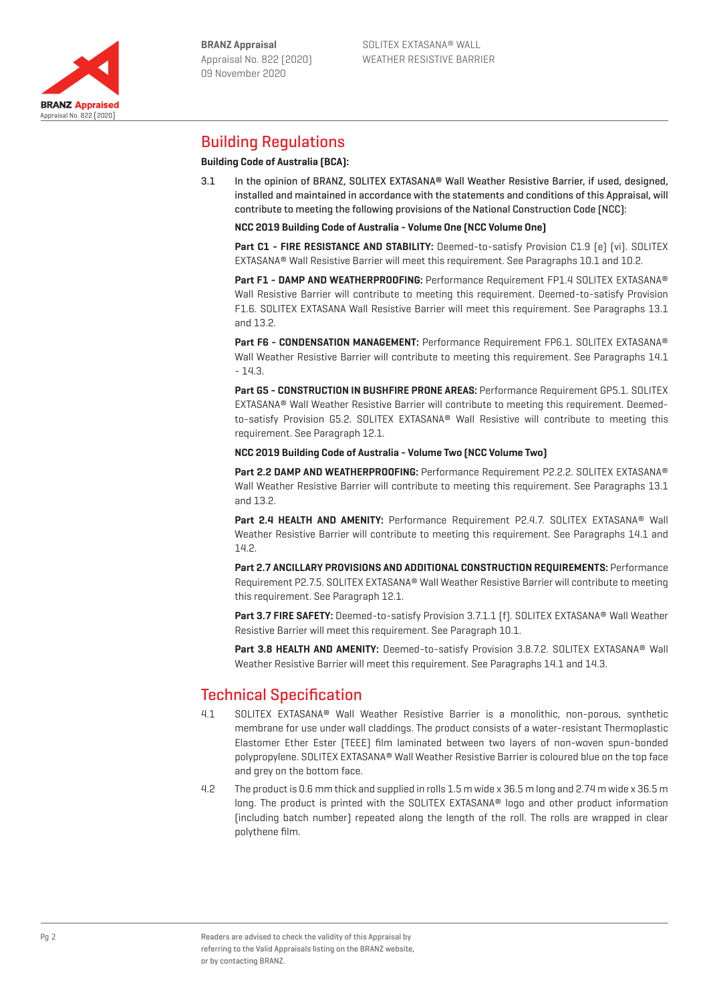Appraisal No. 822 [2020]

**BRANZ Appraised** 



# Building Regulations

## **Building Code of Australia (BCA):**

3.1 In the opinion of BRANZ, SOLITEX EXTASANA® Wall Weather Resistive Barrier, if used, designed, installed and maintained in accordance with the statements and conditions of this Appraisal, will contribute to meeting the following provisions of the National Construction Code (NCC):

**NCC 2019 Building Code of Australia - Volume One (NCC Volume One)**

**Part C1 - FIRE RESISTANCE AND STABILITY:** Deemed-to-satisfy Provision C1.9 [e] [vi]. SOLITEX EXTASANA® Wall Resistive Barrier will meet this requirement. See Paragraphs 10.1 and 10.2.

**Part F1 - DAMP AND WEATHERPROOFING:** Performance Requirement FP1.4 SOLITEX EXTASANA® Wall Resistive Barrier will contribute to meeting this requirement. Deemed-to-satisfy Provision F1.6. SOLITEX EXTASANA Wall Resistive Barrier will meet this requirement. See Paragraphs 13.1 and 13.2.

**Part F6 - CONDENSATION MANAGEMENT:** Performance Requirement FP6.1. SOLITEX EXTASANA® Wall Weather Resistive Barrier will contribute to meeting this requirement. See Paragraphs 14.1 - 14.3.

**Part G5 - CONSTRUCTION IN BUSHFIRE PRONE AREAS:** Performance Requirement GP5.1. SOLITEX EXTASANA® Wall Weather Resistive Barrier will contribute to meeting this requirement. Deemedto-satisfy Provision G5.2. SOLITEX EXTASANA® Wall Resistive will contribute to meeting this requirement. See Paragraph 12.1.

**NCC 2019 Building Code of Australia - Volume Two (NCC Volume Two)**

**Part 2.2 DAMP AND WEATHERPROOFING:** Performance Requirement P2.2.2. SOLITEX EXTASANA® Wall Weather Resistive Barrier will contribute to meeting this requirement. See Paragraphs 13.1 and 13.2.

**Part 2.4 HEALTH AND AMENITY:** Performance Requirement P2.4.7. SOLITEX EXTASANA® Wall Weather Resistive Barrier will contribute to meeting this requirement. See Paragraphs 14.1 and 14.2.

**Part 2.7 ANCILLARY PROVISIONS AND ADDITIONAL CONSTRUCTION REQUIREMENTS:** Performance Requirement P2.7.5. SOLITEX EXTASANA® Wall Weather Resistive Barrier will contribute to meeting this requirement. See Paragraph 12.1.

Part 3.7 FIRE SAFETY: Deemed-to-satisfy Provision 3.7.1.1 [f]. SOLITEX EXTASANA<sup>®</sup> Wall Weather Resistive Barrier will meet this requirement. See Paragraph 10.1.

**Part 3.8 HEALTH AND AMENITY:** Deemed-to-satisfy Provision 3.8.7.2. SOLITEX EXTASANA® Wall Weather Resistive Barrier will meet this requirement. See Paragraphs 14.1 and 14.3.

# Technical Specification

- 4.1 SOLITEX EXTASANA® Wall Weather Resistive Barrier is a monolithic, non-porous, synthetic membrane for use under wall claddings. The product consists of a water-resistant Thermoplastic Elastomer Ether Ester (TEEE) film laminated between two layers of non-woven spun-bonded polypropylene. SOLITEX EXTASANA® Wall Weather Resistive Barrier is coloured blue on the top face and grey on the bottom face.
- 4.2 The product is 0.6 mm thick and supplied in rolls 1.5 m wide x 36.5 m long and 2.74 m wide x 36.5 m long. The product is printed with the SOLITEX EXTASANA® logo and other product information (including batch number) repeated along the length of the roll. The rolls are wrapped in clear polythene film.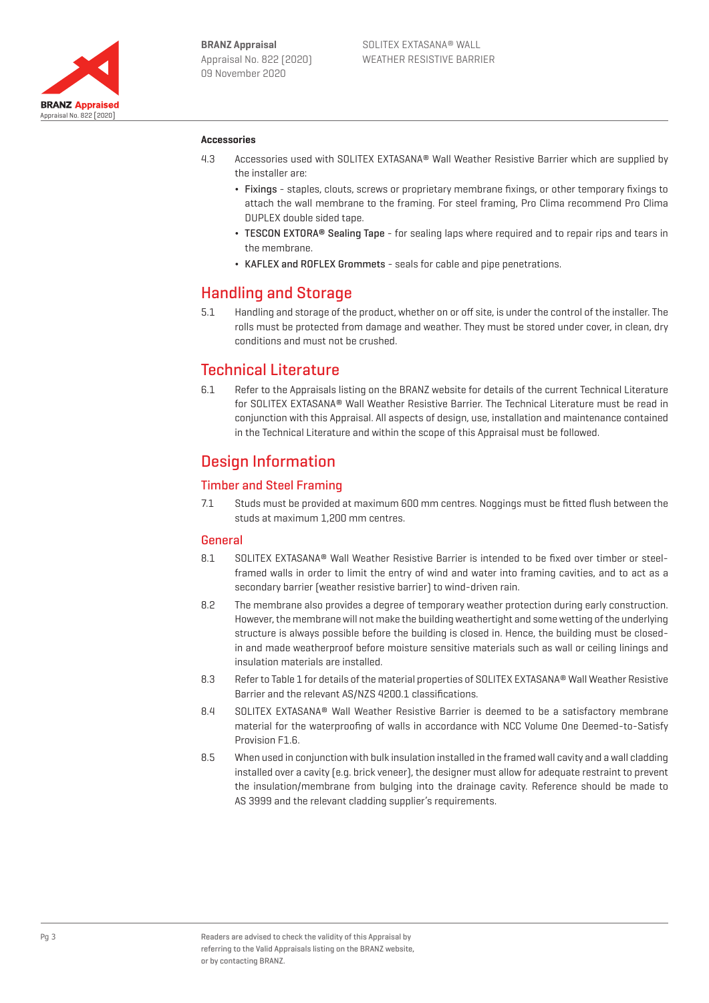

#### **Accessories**

- 4.3 Accessories used with SOLITEX EXTASANA® Wall Weather Resistive Barrier which are supplied by the installer are:
	- ¬ Fixings staples, clouts, screws or proprietary membrane fixings, or other temporary fixings to attach the wall membrane to the framing. For steel framing, Pro Clima recommend Pro Clima DUPLEX double sided tape.
	- TESCON EXTORA® Sealing Tape for sealing laps where required and to repair rips and tears in the membrane.
	- ¬ KAFLEX and ROFLEX Grommets seals for cable and pipe penetrations.

# Handling and Storage

5.1 Handling and storage of the product, whether on or off site, is under the control of the installer. The rolls must be protected from damage and weather. They must be stored under cover, in clean, dry conditions and must not be crushed.

# Technical Literature

6.1 Refer to the Appraisals listing on the BRANZ website for details of the current Technical Literature for SOLITEX EXTASANA® Wall Weather Resistive Barrier. The Technical Literature must be read in conjunction with this Appraisal. All aspects of design, use, installation and maintenance contained in the Technical Literature and within the scope of this Appraisal must be followed.

# Design Information

## Timber and Steel Framing

7.1 Studs must be provided at maximum 600 mm centres. Noggings must be fitted flush between the studs at maximum 1,200 mm centres.

#### General

- 8.1 SOLITEX EXTASANA® Wall Weather Resistive Barrier is intended to be fixed over timber or steelframed walls in order to limit the entry of wind and water into framing cavities, and to act as a secondary barrier (weather resistive barrier) to wind-driven rain.
- 8.2 The membrane also provides a degree of temporary weather protection during early construction. However, the membrane will not make the building weathertight and some wetting of the underlying structure is always possible before the building is closed in. Hence, the building must be closedin and made weatherproof before moisture sensitive materials such as wall or ceiling linings and insulation materials are installed.
- 8.3 Refer to Table 1 for details of the material properties of SOLITEX EXTASANA® Wall Weather Resistive Barrier and the relevant AS/NZS 4200.1 classifications.
- 8.4 SOLITEX EXTASANA® Wall Weather Resistive Barrier is deemed to be a satisfactory membrane material for the waterproofing of walls in accordance with NCC Volume One Deemed-to-Satisfy Provision F1.6.
- 8.5 When used in conjunction with bulk insulation installed in the framed wall cavity and a wall cladding installed over a cavity (e.g. brick veneer), the designer must allow for adequate restraint to prevent the insulation/membrane from bulging into the drainage cavity. Reference should be made to AS 3999 and the relevant cladding supplier's requirements.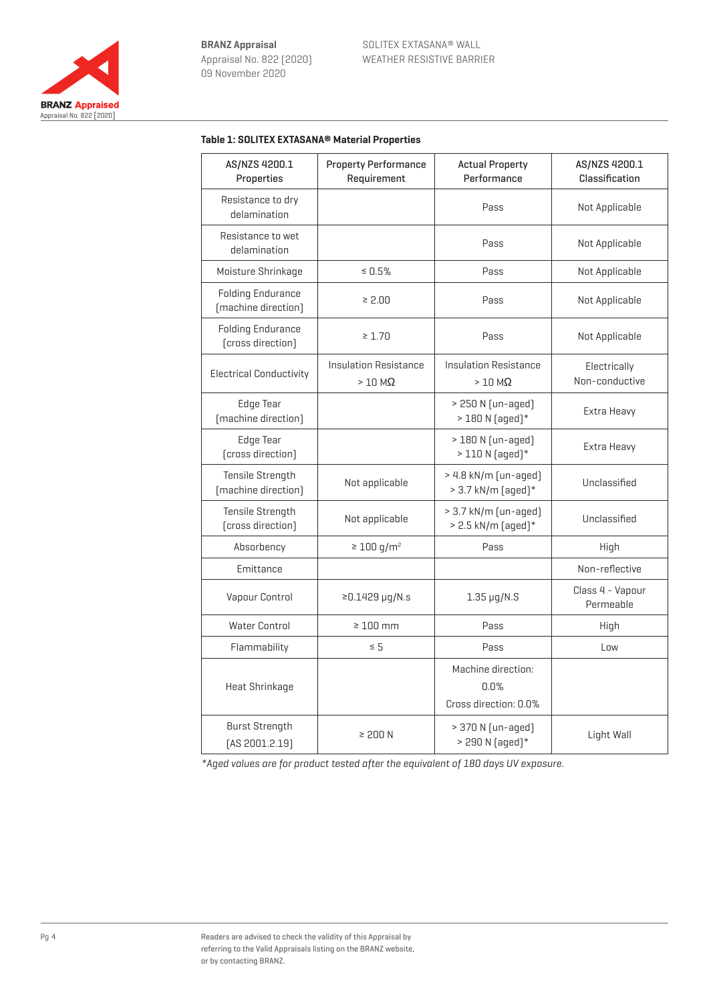

## **Table 1: SOLITEX EXTASANA® Material Properties**

| AS/NZS 4200.1<br>Properties                     | <b>Property Performance</b><br>Requirement       | <b>Actual Property</b><br>Performance               | AS/NZS 4200.1<br>Classification |
|-------------------------------------------------|--------------------------------------------------|-----------------------------------------------------|---------------------------------|
| Resistance to dry<br>delamination               |                                                  | Pass                                                | Not Applicable                  |
| Resistance to wet<br>delamination               |                                                  | Pass                                                | Not Applicable                  |
| Moisture Shrinkage                              | $\leq 0.5\%$                                     | Pass                                                | Not Applicable                  |
| <b>Folding Endurance</b><br>[machine direction] | $\geq 2.00$                                      | Pass                                                | Not Applicable                  |
| <b>Folding Endurance</b><br>(cross direction)   | $\geq 1.70$                                      | Pass                                                | Not Applicable                  |
| <b>Electrical Conductivity</b>                  | <b>Insulation Resistance</b><br>$>10$ M $\Omega$ | <b>Insulation Resistance</b><br>$>10$ M $\Omega$    | Electrically<br>Non-conductive  |
| <b>Edge Tear</b><br>[machine direction]         |                                                  | > 250 N (un-aged)<br>$> 180 N$ [aqed]*              | Extra Heavy                     |
| <b>Edge Tear</b><br>(cross direction)           |                                                  | > 180 N (un-aged)<br>$>110 N$ [aqed] $*$            | Extra Heavy                     |
| Tensile Strength<br>[machine direction]         | Not applicable                                   | > 4.8 kN/m (un-aged)<br>> 3.7 kN/m (aged)*          | Unclassified                    |
| Tensile Strength<br>(cross direction)           | Not applicable                                   | $> 3.7$ kN/m [un-aged]<br>$> 2.5$ kN/m (aged) $*$   | Unclassified                    |
| Absorbency                                      | $\geq 100$ g/m <sup>2</sup>                      | Pass                                                | High                            |
| Emittance                                       |                                                  |                                                     | Non-reflective                  |
| Vapour Control                                  | $≥0.1429 \mu q/N.s$                              | $1.35 \mu q/N.S$                                    | Class 4 - Vapour<br>Permeable   |
| <b>Water Control</b>                            | $\geq 100$ mm                                    | Pass                                                | High                            |
| Flammability                                    | $\leq 5$                                         | Pass                                                | Low                             |
| Heat Shrinkage                                  |                                                  | Machine direction:<br>0.0%<br>Cross direction: 0.0% |                                 |
| <b>Burst Strength</b><br>[AS 2001.2.19]         | $\geq 200$ N                                     | > 370 N (un-aged)<br>> 290 N (aged)*                | Light Wall                      |

\*Aged values are for product tested after the equivalent of 180 days UV exposure.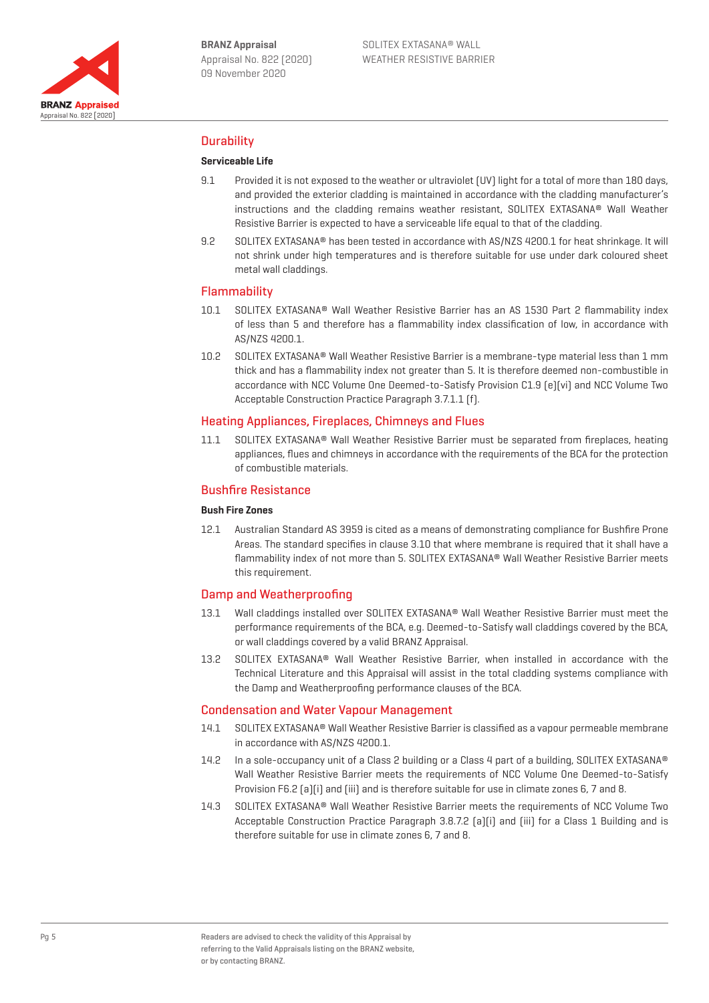

# **Durability**

#### **Serviceable Life**

- 9.1 Provided it is not exposed to the weather or ultraviolet (UV) light for a total of more than 180 days, and provided the exterior cladding is maintained in accordance with the cladding manufacturer's instructions and the cladding remains weather resistant, SOLITEX EXTASANA® Wall Weather Resistive Barrier is expected to have a serviceable life equal to that of the cladding.
- 9.2 SOLITEX EXTASANA® has been tested in accordance with AS/NZS 4200.1 for heat shrinkage. It will not shrink under high temperatures and is therefore suitable for use under dark coloured sheet metal wall claddings.

#### Flammability

- 10.1 SOLITEX EXTASANA® Wall Weather Resistive Barrier has an AS 1530 Part 2 flammability index of less than 5 and therefore has a flammability index classification of low, in accordance with AS/NZS 4200.1.
- 10.2 SOLITEX EXTASANA® Wall Weather Resistive Barrier is a membrane-type material less than 1 mm thick and has a flammability index not greater than 5. It is therefore deemed non-combustible in accordance with NCC Volume One Deemed-to-Satisfy Provision C1.9 (e)(vi) and NCC Volume Two Acceptable Construction Practice Paragraph 3.7.1.1 (f).

### Heating Appliances, Fireplaces, Chimneys and Flues

11.1 SOLITEX EXTASANA® Wall Weather Resistive Barrier must be separated from fireplaces, heating appliances, flues and chimneys in accordance with the requirements of the BCA for the protection of combustible materials.

## Bushfire Resistance

#### **Bush Fire Zones**

12.1 Australian Standard AS 3959 is cited as a means of demonstrating compliance for Bushfire Prone Areas. The standard specifies in clause 3.10 that where membrane is required that it shall have a flammability index of not more than 5. SOLITEX EXTASANA® Wall Weather Resistive Barrier meets this requirement.

### Damp and Weatherproofing

- 13.1 Wall claddings installed over SOLITEX EXTASANA® Wall Weather Resistive Barrier must meet the performance requirements of the BCA, e.g. Deemed-to-Satisfy wall claddings covered by the BCA, or wall claddings covered by a valid BRANZ Appraisal.
- 13.2 SOLITEX EXTASANA® Wall Weather Resistive Barrier, when installed in accordance with the Technical Literature and this Appraisal will assist in the total cladding systems compliance with the Damp and Weatherproofing performance clauses of the BCA.

#### Condensation and Water Vapour Management

- 14.1 SOLITEX EXTASANA® Wall Weather Resistive Barrier is classified as a vapour permeable membrane in accordance with AS/NZS 4200.1.
- 14.2 In a sole-occupancy unit of a Class 2 building or a Class 4 part of a building, SOLITEX EXTASANA® Wall Weather Resistive Barrier meets the requirements of NCC Volume One Deemed-to-Satisfy Provision F6.2 [a][i] and [iii] and is therefore suitable for use in climate zones 6, 7 and 8.
- 14.3 SOLITEX EXTASANA® Wall Weather Resistive Barrier meets the requirements of NCC Volume Two Acceptable Construction Practice Paragraph 3.8.7.2 (a)(i) and (iii) for a Class 1 Building and is therefore suitable for use in climate zones 6, 7 and 8.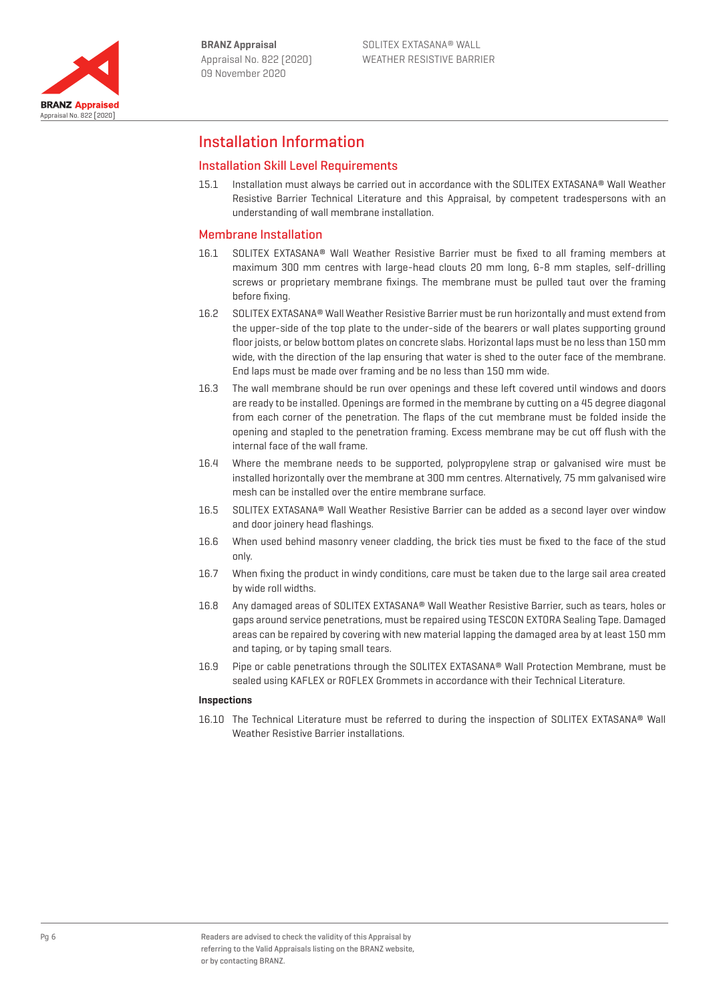

Appraisal No. 822 [2020]

**BRANZ Appraised** 

# Installation Information

# Installation Skill Level Requirements

15.1 Installation must always be carried out in accordance with the SOLITEX EXTASANA® Wall Weather Resistive Barrier Technical Literature and this Appraisal, by competent tradespersons with an understanding of wall membrane installation.

## Membrane Installation

- 16.1 SOLITEX EXTASANA® Wall Weather Resistive Barrier must be fixed to all framing members at maximum 300 mm centres with large-head clouts 20 mm long, 6-8 mm staples, self-drilling screws or proprietary membrane fixings. The membrane must be pulled taut over the framing before fixing.
- 16.2 SOLITEX EXTASANA® Wall Weather Resistive Barrier must be run horizontally and must extend from the upper-side of the top plate to the under-side of the bearers or wall plates supporting ground floor joists, or below bottom plates on concrete slabs. Horizontal laps must be no less than 150 mm wide, with the direction of the lap ensuring that water is shed to the outer face of the membrane. End laps must be made over framing and be no less than 150 mm wide.
- 16.3 The wall membrane should be run over openings and these left covered until windows and doors are ready to be installed. Openings are formed in the membrane by cutting on a 45 degree diagonal from each corner of the penetration. The flaps of the cut membrane must be folded inside the opening and stapled to the penetration framing. Excess membrane may be cut off flush with the internal face of the wall frame.
- 16.4 Where the membrane needs to be supported, polypropylene strap or galvanised wire must be installed horizontally over the membrane at 300 mm centres. Alternatively, 75 mm galvanised wire mesh can be installed over the entire membrane surface.
- 16.5 SOLITEX EXTASANA® Wall Weather Resistive Barrier can be added as a second layer over window and door joinery head flashings.
- 16.6 When used behind masonry veneer cladding, the brick ties must be fixed to the face of the stud only.
- 16.7 When fixing the product in windy conditions, care must be taken due to the large sail area created by wide roll widths.
- 16.8 Any damaged areas of SOLITEX EXTASANA® Wall Weather Resistive Barrier, such as tears, holes or gaps around service penetrations, must be repaired using TESCON EXTORA Sealing Tape. Damaged areas can be repaired by covering with new material lapping the damaged area by at least 150 mm and taping, or by taping small tears.
- 16.9 Pipe or cable penetrations through the SOLITEX EXTASANA® Wall Protection Membrane, must be sealed using KAFLEX or ROFLEX Grommets in accordance with their Technical Literature.

#### **Inspections**

16.10 The Technical Literature must be referred to during the inspection of SOLITEX EXTASANA® Wall Weather Resistive Barrier installations.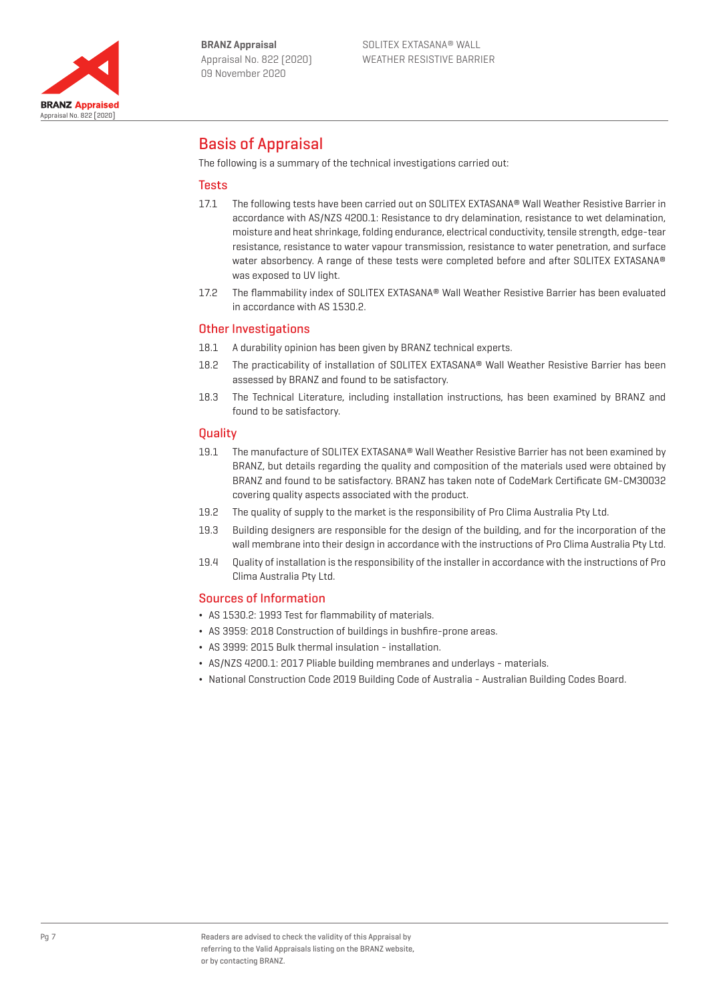

# Basis of Appraisal

The following is a summary of the technical investigations carried out:

# **Tests**

- 17.1 The following tests have been carried out on SOLITEX EXTASANA® Wall Weather Resistive Barrier in accordance with AS/NZS 4200.1: Resistance to dry delamination, resistance to wet delamination, moisture and heat shrinkage, folding endurance, electrical conductivity, tensile strength, edge-tear resistance, resistance to water vapour transmission, resistance to water penetration, and surface water absorbency. A range of these tests were completed before and after SOLITEX EXTASANA® was exposed to UV light.
- 17.2 The flammability index of SOLITEX EXTASANA® Wall Weather Resistive Barrier has been evaluated in accordance with AS 1530.2.

## Other Investigations

- 18.1 A durability opinion has been given by BRANZ technical experts.
- 18.2 The practicability of installation of SOLITEX EXTASANA® Wall Weather Resistive Barrier has been assessed by BRANZ and found to be satisfactory.
- 18.3 The Technical Literature, including installation instructions, has been examined by BRANZ and found to be satisfactory.

### **Quality**

- 19.1 The manufacture of SOLITEX EXTASANA® Wall Weather Resistive Barrier has not been examined by BRANZ, but details regarding the quality and composition of the materials used were obtained by BRANZ and found to be satisfactory. BRANZ has taken note of CodeMark Certificate GM-CM30032 covering quality aspects associated with the product.
- 19.2 The quality of supply to the market is the responsibility of Pro Clima Australia Pty Ltd.
- 19.3 Building designers are responsible for the design of the building, and for the incorporation of the wall membrane into their design in accordance with the instructions of Pro Clima Australia Pty Ltd.
- 19.4 Quality of installation is the responsibility of the installer in accordance with the instructions of Pro Clima Australia Pty Ltd.

### Sources of Information

- ¬ AS 1530.2: 1993 Test for flammability of materials.
- ¬ AS 3959: 2018 Construction of buildings in bushfire-prone areas.
- ¬ AS 3999: 2015 Bulk thermal insulation installation.
- ¬ AS/NZS 4200.1: 2017 Pliable building membranes and underlays materials.
- ¬ National Construction Code 2019 Building Code of Australia Australian Building Codes Board.